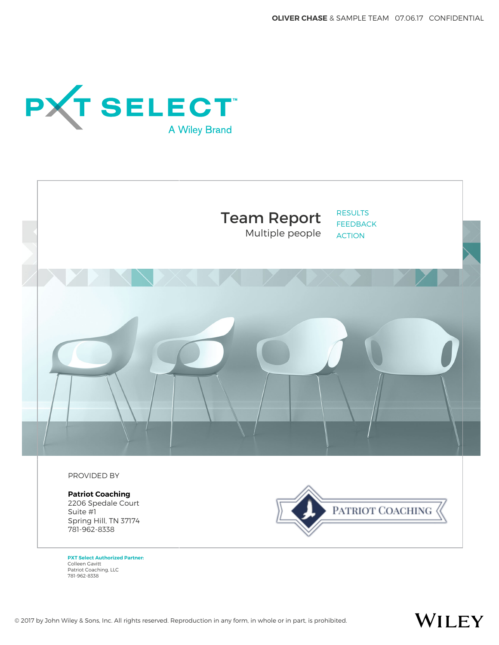**OLIVER CHASE** & SAMPLE TEAM 07.06.17 CONFIDENTIAL

WILEY





**PXT Select Authorized Partner:** Colleen Gavitt Patriot Coaching, LLC 781-962-8338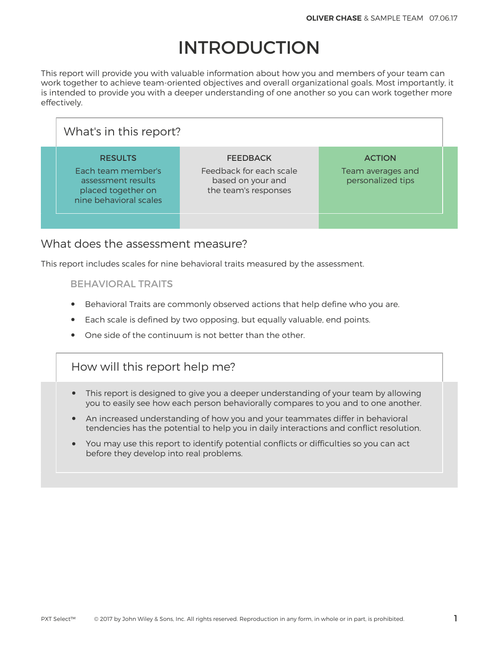# INTRODUCTION

This report will provide you with valuable information about how you and members of your team can work together to achieve team-oriented objectives and overall organizational goals. Most importantly, it is intended to provide you with a deeper understanding of one another so you can work together more effectively.

| What's in this report?                                                                                     |                                                                                         |                                                         |  |
|------------------------------------------------------------------------------------------------------------|-----------------------------------------------------------------------------------------|---------------------------------------------------------|--|
| <b>RESULTS</b><br>Each team member's<br>assessment results<br>placed together on<br>nine behavioral scales | <b>FEEDBACK</b><br>Feedback for each scale<br>based on your and<br>the team's responses | <b>ACTION</b><br>Team averages and<br>personalized tips |  |
|                                                                                                            |                                                                                         |                                                         |  |

### What does the assessment measure?

This report includes scales for nine behavioral traits measured by the assessment.

#### BEHAVIORAL TRAITS

- Behavioral Traits are commonly observed actions that help define who you are.
- Each scale is defined by two opposing, but equally valuable, end points.
- One side of the continuum is not better than the other.

## How will this report help me?

- This report is designed to give you a deeper understanding of your team by allowing you to easily see how each person behaviorally compares to you and to one another.
- An increased understanding of how you and your teammates differ in behavioral tendencies has the potential to help you in daily interactions and conflict resolution.
- You may use this report to identify potential conflicts or difficulties so you can act before they develop into real problems.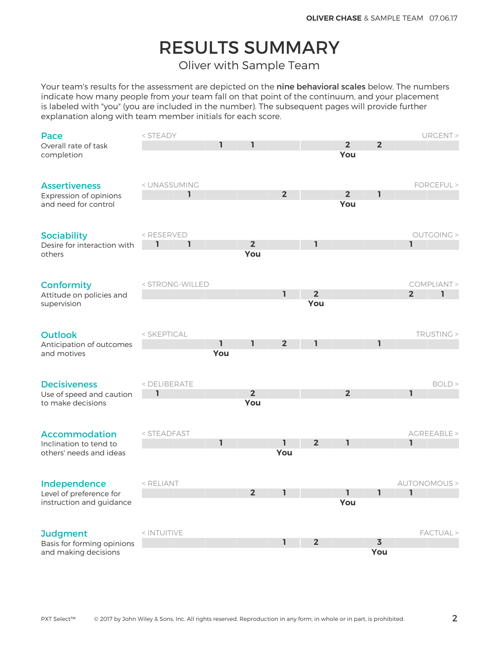# RESULTS SUMMARY

Oliver with Sample Team

Your team's results for the assessment are depicted on the nine behavioral scales below. The numbers indicate how many people from your team fall on that point of the continuum, and your placement is labeled with "you" (you are included in the number). The subsequent pages will provide further explanation along with team member initials for each score.

| Pace                                       | < STEADY                                                                                                                  |              |                |                |                |                |                |                | URGENT >             |
|--------------------------------------------|---------------------------------------------------------------------------------------------------------------------------|--------------|----------------|----------------|----------------|----------------|----------------|----------------|----------------------|
| Overall rate of task                       |                                                                                                                           | 1            | ı              |                |                | $\overline{2}$ | $\overline{2}$ |                |                      |
| completion                                 |                                                                                                                           |              |                |                |                | You            |                |                |                      |
|                                            |                                                                                                                           |              |                |                |                |                |                |                |                      |
|                                            |                                                                                                                           |              |                |                |                |                |                |                |                      |
| <b>Assertiveness</b>                       | < UNASSUMING                                                                                                              |              |                |                |                |                |                |                | FORCEFUL >           |
| Expression of opinions                     | ı                                                                                                                         |              |                | $\overline{2}$ |                | 2 <sub>2</sub> | ı              |                |                      |
| and need for control                       |                                                                                                                           |              |                |                |                | You            |                |                |                      |
|                                            |                                                                                                                           |              |                |                |                |                |                |                |                      |
|                                            |                                                                                                                           |              |                |                |                |                |                |                |                      |
| <b>Sociability</b>                         | <reserved< td=""><td></td><td></td><td></td><td></td><td></td><td></td><td></td><td><b>OUTGOING &gt;</b></td></reserved<> |              |                |                |                |                |                |                | <b>OUTGOING &gt;</b> |
| Desire for interaction with                | ı<br>1                                                                                                                    |              | 2 <sup>2</sup> |                | ı              |                |                | I.             |                      |
| others                                     |                                                                                                                           |              | You            |                |                |                |                |                |                      |
|                                            |                                                                                                                           |              |                |                |                |                |                |                |                      |
|                                            |                                                                                                                           |              |                |                |                |                |                |                |                      |
| <b>Conformity</b>                          | < STRONG-WILLED                                                                                                           |              |                |                | $\overline{2}$ |                |                |                | COMPLIANT >          |
| Attitude on policies and                   |                                                                                                                           |              |                | $\mathbf{I}$   | You            |                |                | $\overline{2}$ | ı                    |
| supervision                                |                                                                                                                           |              |                |                |                |                |                |                |                      |
|                                            |                                                                                                                           |              |                |                |                |                |                |                |                      |
|                                            | < SKEPTICAL                                                                                                               |              |                |                |                |                |                |                | TRUSTING >           |
| <b>Outlook</b><br>Anticipation of outcomes |                                                                                                                           | ı            | ı.             | 2 <sup>2</sup> | ı              |                | ı              |                |                      |
| and motives                                |                                                                                                                           | You          |                |                |                |                |                |                |                      |
|                                            |                                                                                                                           |              |                |                |                |                |                |                |                      |
|                                            |                                                                                                                           |              |                |                |                |                |                |                |                      |
| <b>Decisiveness</b>                        | < DELIBERATE                                                                                                              |              |                |                |                |                |                |                | BOLD                 |
| Use of speed and caution                   | 1                                                                                                                         |              | $2^{\circ}$    |                |                | 2 <sup>2</sup> |                | 1              |                      |
| to make decisions                          |                                                                                                                           |              | You            |                |                |                |                |                |                      |
|                                            |                                                                                                                           |              |                |                |                |                |                |                |                      |
|                                            |                                                                                                                           |              |                |                |                |                |                |                |                      |
| <b>Accommodation</b>                       | < STEADFAST                                                                                                               |              |                |                |                |                |                |                | AGREEABLE >          |
| Inclination to tend to                     |                                                                                                                           | $\mathbf{I}$ |                | I.             | $\overline{2}$ | ı              |                | $\mathbf{I}$   |                      |
| others' needs and ideas                    |                                                                                                                           |              |                | You            |                |                |                |                |                      |
|                                            |                                                                                                                           |              |                |                |                |                |                |                |                      |
|                                            |                                                                                                                           |              |                |                |                |                |                |                |                      |
| Independence                               | < RELIANT                                                                                                                 |              |                |                |                |                |                |                | AUTONOMOUS >         |
| Level of preference for                    |                                                                                                                           |              | 2 <sup>2</sup> | I.             |                | I.             | ı              | $\mathbf{I}$   |                      |
| instruction and guidance                   |                                                                                                                           |              |                |                |                | You            |                |                |                      |
|                                            |                                                                                                                           |              |                |                |                |                |                |                |                      |
|                                            |                                                                                                                           |              |                |                |                |                |                |                |                      |
| <b>Judgment</b>                            | < INTUITIVE                                                                                                               |              |                |                |                |                |                |                | FACTUAL >            |
| Basis for forming opinions                 |                                                                                                                           |              |                | ı              | $\overline{2}$ |                | $\overline{3}$ |                |                      |
| and making decisions                       |                                                                                                                           |              |                |                |                |                | You            |                |                      |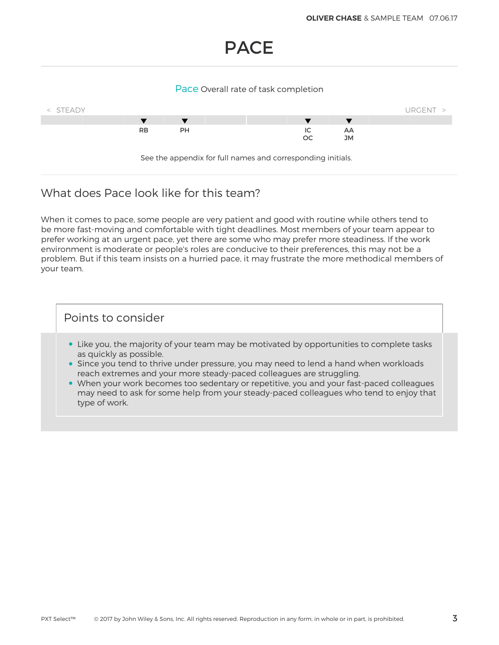## PACE

#### Pace Overall rate of task completion



### What does Pace look like for this team?

When it comes to pace, some people are very patient and good with routine while others tend to be more fast-moving and comfortable with tight deadlines. Most members of your team appear to prefer working at an urgent pace, yet there are some who may prefer more steadiness. If the work environment is moderate or people's roles are conducive to their preferences, this may not be a problem. But if this team insists on a hurried pace, it may frustrate the more methodical members of your team.

- Like you, the majority of your team may be motivated by opportunities to complete tasks as quickly as possible.
- Since you tend to thrive under pressure, you may need to lend a hand when workloads reach extremes and your more steady-paced colleagues are struggling.
- When your work becomes too sedentary or repetitive, you and your fast-paced colleagues may need to ask for some help from your steady-paced colleagues who tend to enjoy that type of work.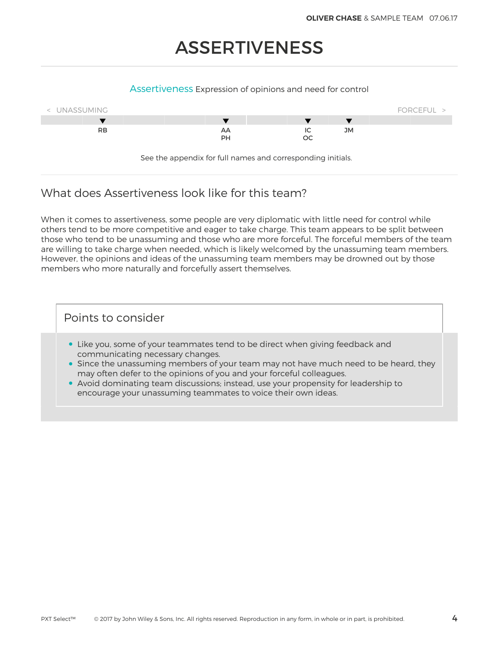# ASSERTIVENESS

#### Assertiveness Expression of opinions and need for control



See the appendix for full names and corresponding initials.

## What does Assertiveness look like for this team?

When it comes to assertiveness, some people are very diplomatic with little need for control while others tend to be more competitive and eager to take charge. This team appears to be split between those who tend to be unassuming and those who are more forceful. The forceful members of the team are willing to take charge when needed, which is likely welcomed by the unassuming team members. However, the opinions and ideas of the unassuming team members may be drowned out by those members who more naturally and forcefully assert themselves.

- Like you, some of your teammates tend to be direct when giving feedback and communicating necessary changes.
- Since the unassuming members of your team may not have much need to be heard, they may often defer to the opinions of you and your forceful colleagues.
- Avoid dominating team discussions; instead, use your propensity for leadership to encourage your unassuming teammates to voice their own ideas.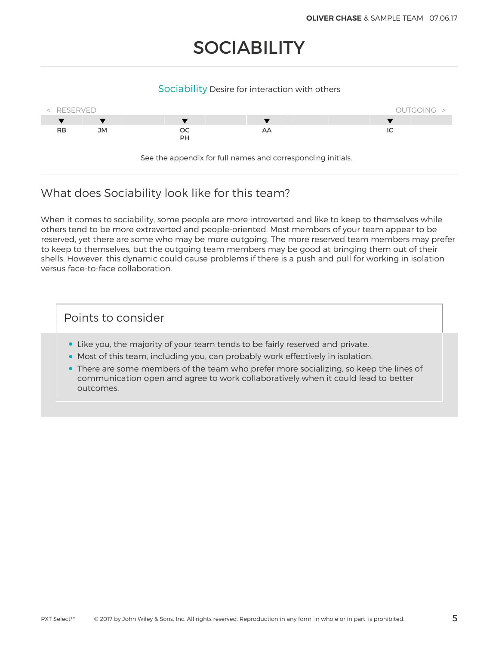# **SOCIABILITY**

#### Sociability Desire for interaction with others



## What does Sociability look like for this team?

When it comes to sociability, some people are more introverted and like to keep to themselves while others tend to be more extraverted and people-oriented. Most members of your team appear to be reserved, yet there are some who may be more outgoing. The more reserved team members may prefer to keep to themselves, but the outgoing team members may be good at bringing them out of their shells. However, this dynamic could cause problems if there is a push and pull for working in isolation versus face-to-face collaboration.

- Like you, the majority of your team tends to be fairly reserved and private.
- Most of this team, including you, can probably work effectively in isolation.
- There are some members of the team who prefer more socializing, so keep the lines of communication open and agree to work collaboratively when it could lead to better outcomes.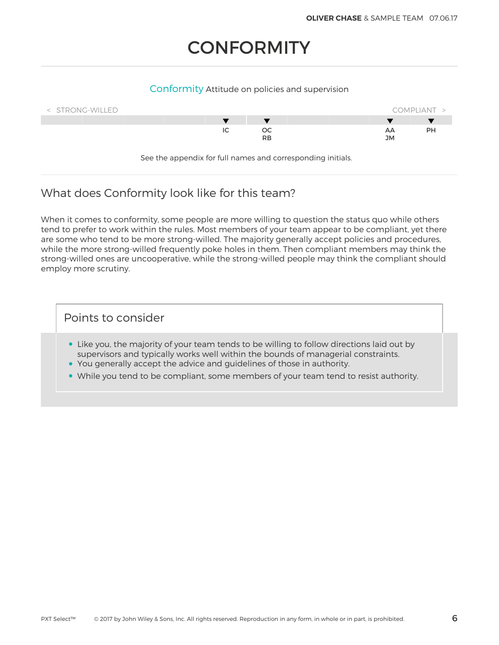# **CONFORMITY**

#### Conformity Attitude on policies and supervision



See the appendix for full names and corresponding initials.

## What does Conformity look like for this team?

When it comes to conformity, some people are more willing to question the status quo while others tend to prefer to work within the rules. Most members of your team appear to be compliant, yet there are some who tend to be more strong-willed. The majority generally accept policies and procedures, while the more strong-willed frequently poke holes in them. Then compliant members may think the strong-willed ones are uncooperative, while the strong-willed people may think the compliant should employ more scrutiny.

- Like you, the majority of your team tends to be willing to follow directions laid out by supervisors and typically works well within the bounds of managerial constraints.
- You generally accept the advice and guidelines of those in authority.
- While you tend to be compliant, some members of your team tend to resist authority.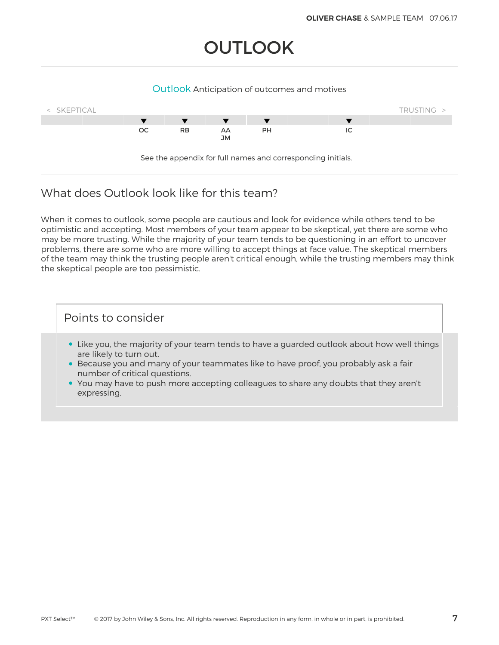# **OUTLOOK**

#### Outlook Anticipation of outcomes and motives



### What does Outlook look like for this team?

When it comes to outlook, some people are cautious and look for evidence while others tend to be optimistic and accepting. Most members of your team appear to be skeptical, yet there are some who may be more trusting. While the majority of your team tends to be questioning in an effort to uncover problems, there are some who are more willing to accept things at face value. The skeptical members of the team may think the trusting people aren't critical enough, while the trusting members may think the skeptical people are too pessimistic.

- Like you, the majority of your team tends to have a guarded outlook about how well things are likely to turn out.
- Because you and many of your teammates like to have proof, you probably ask a fair number of critical questions.
- You may have to push more accepting colleagues to share any doubts that they aren't expressing.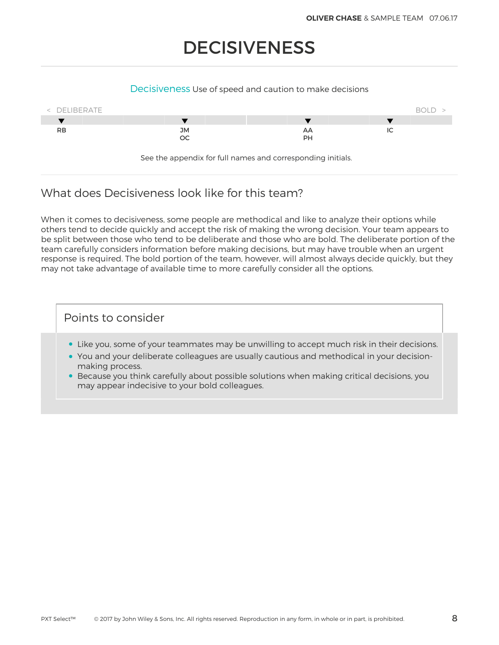# **DECISIVENESS**

#### Decisiveness Use of speed and caution to make decisions



See the appendix for full names and corresponding initials.

## What does Decisiveness look like for this team?

When it comes to decisiveness, some people are methodical and like to analyze their options while others tend to decide quickly and accept the risk of making the wrong decision. Your team appears to be split between those who tend to be deliberate and those who are bold. The deliberate portion of the team carefully considers information before making decisions, but may have trouble when an urgent response is required. The bold portion of the team, however, will almost always decide quickly, but they may not take advantage of available time to more carefully consider all the options.

- Like you, some of your teammates may be unwilling to accept much risk in their decisions.
- You and your deliberate colleagues are usually cautious and methodical in your decisionmaking process.
- Because you think carefully about possible solutions when making critical decisions, you may appear indecisive to your bold colleagues.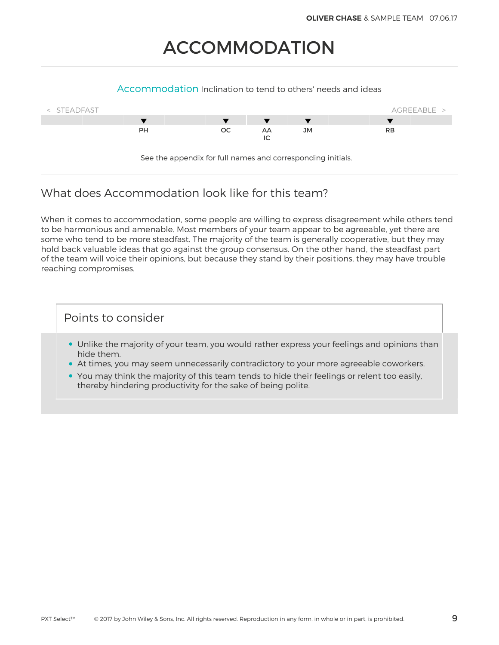# ACCOMMODATION

#### Accommodation Inclination to tend to others' needs and ideas



## What does Accommodation look like for this team?

When it comes to accommodation, some people are willing to express disagreement while others tend to be harmonious and amenable. Most members of your team appear to be agreeable, yet there are some who tend to be more steadfast. The majority of the team is generally cooperative, but they may hold back valuable ideas that go against the group consensus. On the other hand, the steadfast part of the team will voice their opinions, but because they stand by their positions, they may have trouble reaching compromises.

- Unlike the majority of your team, you would rather express your feelings and opinions than hide them.
- At times, you may seem unnecessarily contradictory to your more agreeable coworkers.
- You may think the majority of this team tends to hide their feelings or relent too easily, thereby hindering productivity for the sake of being polite.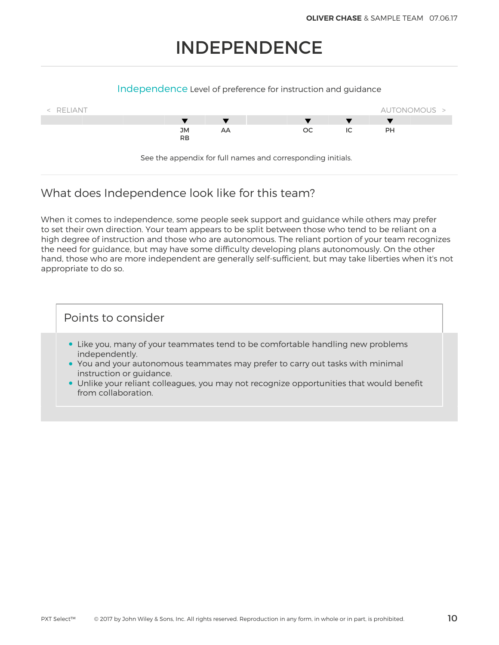# INDEPENDENCE

#### Independence Level of preference for instruction and guidance



## What does Independence look like for this team?

When it comes to independence, some people seek support and guidance while others may prefer to set their own direction. Your team appears to be split between those who tend to be reliant on a high degree of instruction and those who are autonomous. The reliant portion of your team recognizes the need for guidance, but may have some difficulty developing plans autonomously. On the other hand, those who are more independent are generally self-sufficient, but may take liberties when it's not appropriate to do so.

- Like you, many of your teammates tend to be comfortable handling new problems independently.
- You and your autonomous teammates may prefer to carry out tasks with minimal instruction or guidance.
- Unlike your reliant colleagues, you may not recognize opportunities that would benefit from collaboration.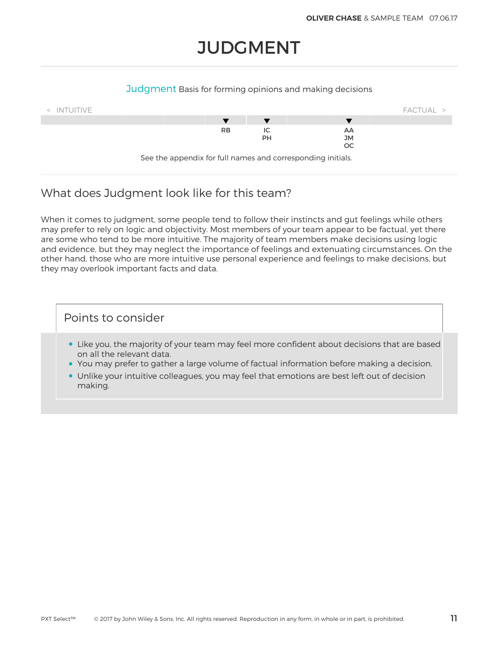# **JUDGMENT**

#### Judgment Basis for forming opinions and making decisions



## What does Judgment look like for this team?

When it comes to judgment, some people tend to follow their instincts and gut feelings while others may prefer to rely on logic and objectivity. Most members of your team appear to be factual, yet there are some who tend to be more intuitive. The majority of team members make decisions using logic and evidence, but they may neglect the importance of feelings and extenuating circumstances. On the other hand, those who are more intuitive use personal experience and feelings to make decisions, but they may overlook important facts and data.

- Like you, the majority of your team may feel more confident about decisions that are based on all the relevant data.
- You may prefer to gather a large volume of factual information before making a decision.
- Unlike your intuitive colleagues, you may feel that emotions are best left out of decision making.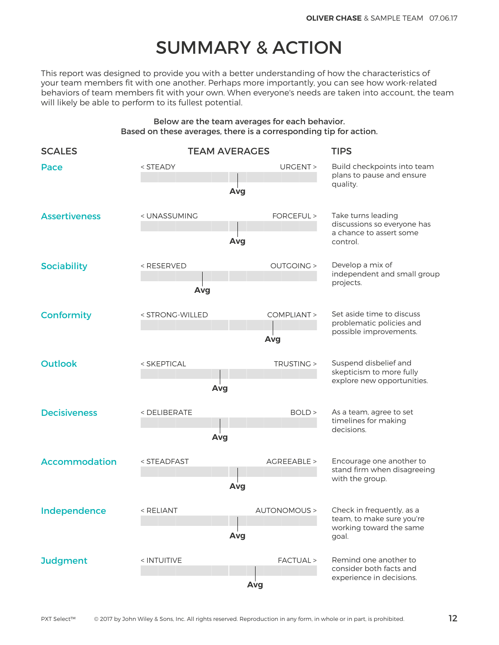# SUMMARY & ACTION

This report was designed to provide you with a better understanding of how the characteristics of your team members fit with one another. Perhaps more importantly, you can see how work-related behaviors of team members fit with your own. When everyone's needs are taken into account, the team will likely be able to perform to its fullest potential.

#### Below are the team averages for each behavior. Based on these averages, there is a corresponding tip for action.

| <b>SCALES</b>        |                                                                                                                                                  | <b>TEAM AVERAGES</b> | <b>TIPS</b>                                                          |  |
|----------------------|--------------------------------------------------------------------------------------------------------------------------------------------------|----------------------|----------------------------------------------------------------------|--|
| Pace                 | <steady< td=""><td>URGENT &gt;<br/>Avg</td><td colspan="2">Build checkpoints into team<br/>plans to pause and ensure<br/>quality.</td></steady<> | URGENT ><br>Avg      | Build checkpoints into team<br>plans to pause and ensure<br>quality. |  |
|                      |                                                                                                                                                  |                      |                                                                      |  |
| <b>Assertiveness</b> | < UNASSUMING                                                                                                                                     | FORCEFUL >           | Take turns leading<br>discussions so everyone has                    |  |
|                      |                                                                                                                                                  | Avg                  | a chance to assert some<br>control.                                  |  |
| <b>Sociability</b>   | <reserved< td=""><td><b>OUTGOING &gt;</b></td><td colspan="2">Develop a mix of<br/>independent and small group</td></reserved<>                  | <b>OUTGOING &gt;</b> | Develop a mix of<br>independent and small group                      |  |
|                      | Avg                                                                                                                                              |                      | projects.                                                            |  |
| <b>Conformity</b>    | < STRONG-WILLED                                                                                                                                  | COMPLIANT >          | Set aside time to discuss<br>problematic policies and                |  |
|                      |                                                                                                                                                  | Avg                  | possible improvements.                                               |  |
| <b>Outlook</b>       | TRUSTING ><br>< SKEPTICAL                                                                                                                        |                      | Suspend disbelief and<br>skepticism to more fully                    |  |
|                      | Avg                                                                                                                                              |                      | explore new opportunities.                                           |  |
| <b>Decisiveness</b>  | <deliberate<br>BOLD &gt;</deliberate<br>                                                                                                         |                      | As a team, agree to set<br>timelines for making                      |  |
|                      | Avg                                                                                                                                              | decisions.           |                                                                      |  |
| <b>Accommodation</b> | < STEADFAST                                                                                                                                      | AGREEABLE >          | Encourage one another to<br>stand firm when disagreeing              |  |
|                      |                                                                                                                                                  | Avg                  | with the group.                                                      |  |
| Independence         | < RELIANT                                                                                                                                        |                      | AUTONOMOUS > Check in frequently, as a                               |  |
|                      |                                                                                                                                                  | Avg                  | team, to make sure you're<br>working toward the same<br>goal.        |  |
| <b>Judgment</b>      | < INTUITIVE                                                                                                                                      | FACTUAL >            | Remind one another to<br>consider both facts and                     |  |
|                      |                                                                                                                                                  | Avg                  | experience in decisions.                                             |  |